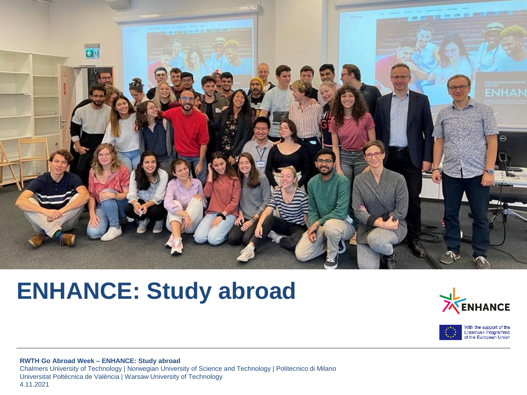

# **ENHANCE: Study abroad**



With the support of the<br>Erasmus+ Programme<br>of the European Union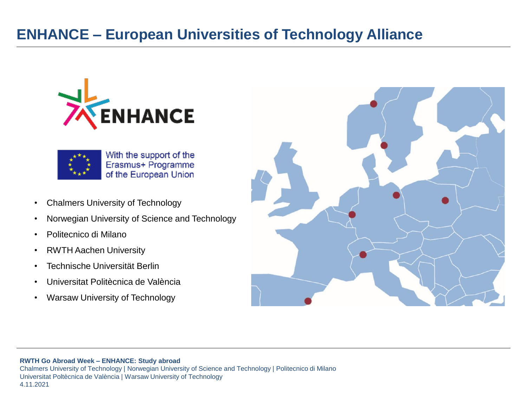### **ENHANCE – European Universities of Technology Alliance**





With the support of the Erasmus+ Programme of the European Union

- Chalmers University of Technology
- Norwegian University of Science and Technology
- Politecnico di Milano
- RWTH Aachen University
- Technische Universität Berlin
- Universitat Politècnica de València
- Warsaw University of Technology



#### **RWTH Go Abroad Week – ENHANCE: Study abroad**

Chalmers University of Technology | Norwegian University of Science and Technology | Politecnico di Milano Universitat Poltècnica de València | Warsaw University of Technology 4.11.2021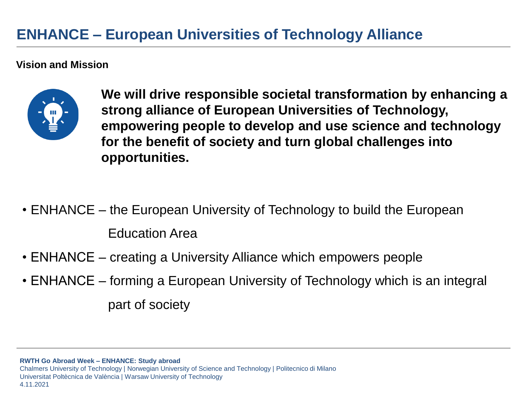### **ENHANCE – European Universities of Technology Alliance**

#### **Vision and Mission**



**We will drive responsible societal transformation by enhancing a strong alliance of European Universities of Technology, empowering people to develop and use science and technology for the benefit of society and turn global challenges into opportunities.**

- ENHANCE the European University of Technology to build the European Education Area
- ENHANCE creating a University Alliance which empowers people
- ENHANCE forming a European University of Technology which is an integral part of society

**RWTH Go Abroad Week – ENHANCE: Study abroad**

Chalmers University of Technology | Norwegian University of Science and Technology | Politecnico di Milano Universitat Poltècnica de València | Warsaw University of Technology 4.11.2021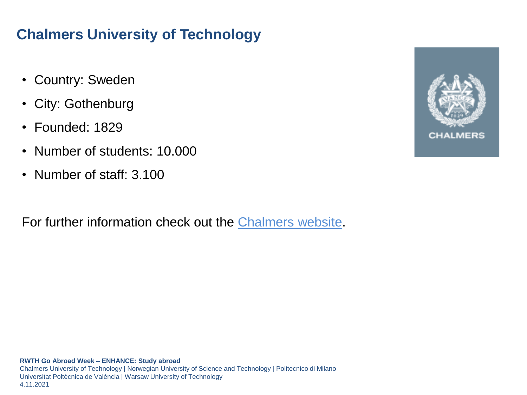- Country: Sweden
- City: Gothenburg
- Founded: 1829
- Number of students: 10.000
- Number of staff: 3.100

For further information check out the [Chalmers](https://www.chalmers.se/en/Pages/default.aspx) website.

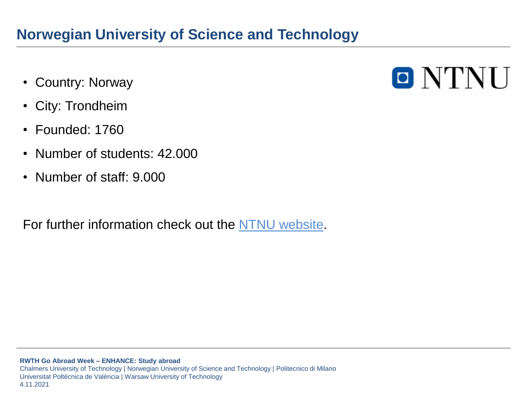### **Norwegian University of Science and Technology**

- Country: Norway
- City: Trondheim
- Founded: 1760
- Number of students: 42.000
- Number of staff: 9.000

For further information check out the [NTNU website.](https://www.ntnu.edu/)

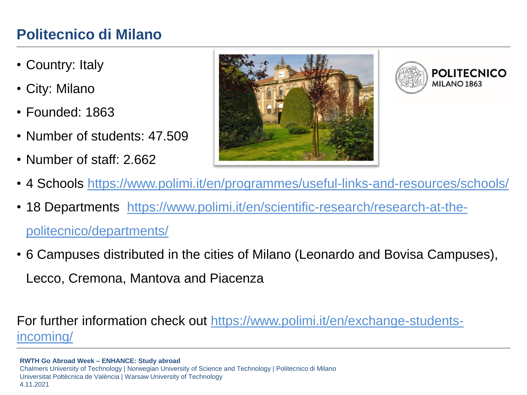### **Politecnico di Milano**

- Country: Italy
- City: Milano
- Founded: 1863
- Number of students: 47,509
- Number of staff: 2.662





- 4 Schools <https://www.polimi.it/en/programmes/useful-links-and-resources/schools/>
- [18 Departments https://www.polimi.it/en/scientific-research/research-at-the](https://www.polimi.it/en/scientific-research/research-at-the-politecnico/departments/)politecnico/departments/
- 6 Campuses distributed in the cities of Milano (Leonardo and Bovisa Campuses), Lecco, Cremona, Mantova and Piacenza

For further information [check out https://www.polimi.it/en/exchange-students](https://www.polimi.it/en/exchange-students-incoming/)incoming/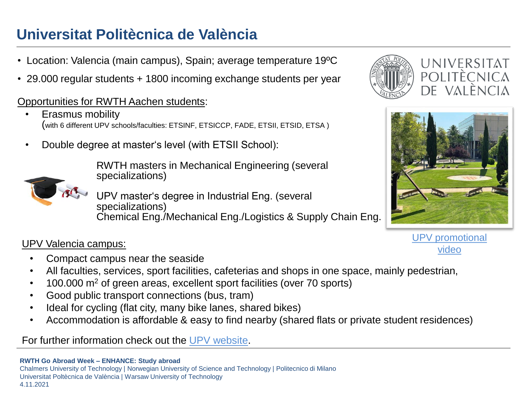## **Universitat Politècnica de València**

- Location: Valencia (main campus), Spain; average temperature 19ºC
- 29.000 regular students + 1800 incoming exchange students per year

#### Opportunities for RWTH Aachen students:

- Erasmus mobility (with 6 different UPV schools/faculties: ETSINF, ETSICCP, FADE, ETSII, ETSID, ETSA )
- Double degree at master's level (with ETSII School):

RWTH masters in Mechanical Engineering (several specializations)

UPV master's degree in Industrial Eng. (several specializations) Chemical Eng./Mechanical Eng./Logistics & Supply Chain Eng.

#### video UPV Valencia campus:

- Compact campus near the seaside
- All faculties, services, sport facilities, cafeterias and shops in one space, mainly pedestrian,
- $\cdot$  100.000 m<sup>2</sup> of green areas, excellent sport facilities (over 70 sports)
- Good public transport connections (bus, tram)
- Ideal for cycling (flat city, many bike lanes, shared bikes)
- Accommodation is affordable & easy to find nearby (shared flats or private student residences)

For further information check out the [UPV website.](http://www.upv.es/entidades/OPII/infoweb/pi/info/818854normali.html)





[UPV promotional](https://studyabroad.webs.upv.es/img/moneres.mp4)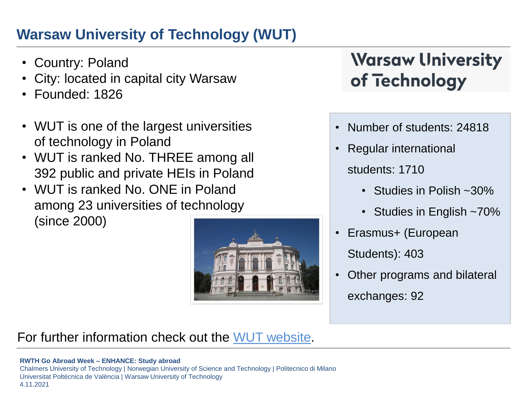## **Warsaw University of Technology (WUT)**

- Country: Poland
- City: located in capital city Warsaw
- Founded: 1826
- WUT is one of the largest universities of technology in Poland
- WUT is ranked No. THREE among all 392 public and private HEIs in Poland
- WUT is ranked No. ONE in Poland among 23 universities of technology (since 2000)



# **Warsaw University** of Technology

- Number of students: 24818
- Regular international
	- students: 1710
		- Studies in Polish ~30%
		- Studies in English ~70%
- Erasmus+ (European Students): 403
- Other programs and bilateral exchanges: 92

#### For further information check out the [WUT website.](https://www.pw.edu.pl/engpw)

#### **RWTH Go Abroad Week – ENHANCE: Study abroad**

Chalmers University of Technology | Norwegian University of Science and Technology | Politecnico di Milano Universitat Poltècnica de València | Warsaw University of Technology 4.11.2021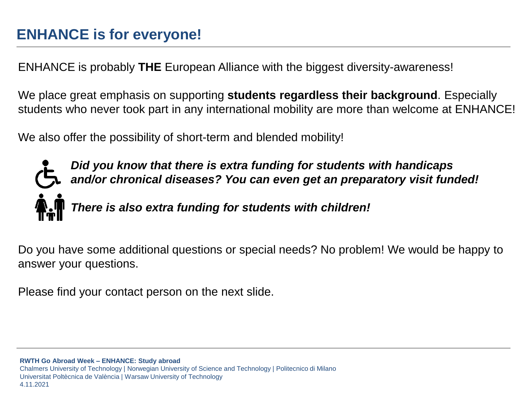ENHANCE is probably **THE** European Alliance with the biggest diversity-awareness!

We place great emphasis on supporting **students regardless their background**. Especially students who never took part in any international mobility are more than welcome at ENHANCE!

We also offer the possibility of short-term and blended mobility!



*Did you know that there is extra funding for students with handicaps and/or chronical diseases? You can even get an preparatory visit funded!* 

*There is also extra funding for students with children!*

Do you have some additional questions or special needs? No problem! We would be happy to answer your questions.

Please find your contact person on the next slide.